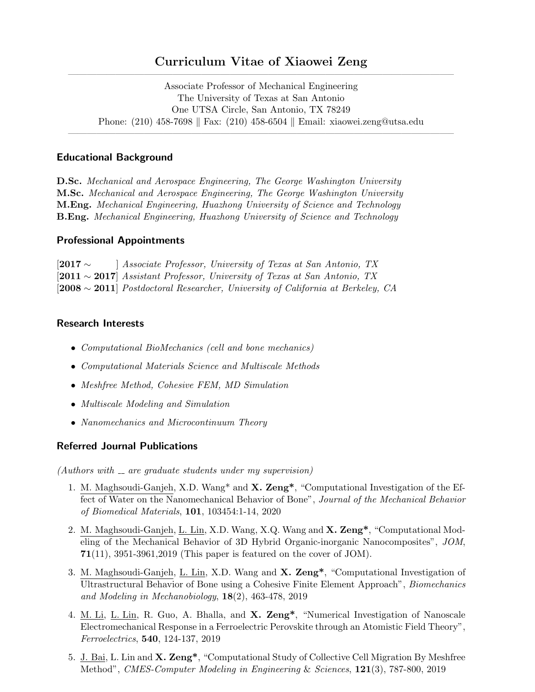# Curriculum Vitae of Xiaowei Zeng  $\overline{\phantom{a}}$  , and the contribution of the contribution of  $\overline{\phantom{a}}$

Associate Professor of Mechanical Engineering The University of Texas at San Antonio One UTSA Circle, San Antonio, TX 78249 Phone:  $(210)$  458-7698 | Fax:  $(210)$  458-6504 | Email: xiaowei.zeng@utsa.edu

 $\overline{\phantom{a}}$  , and the contribution of the contribution of  $\overline{\phantom{a}}$ 

#### Educational Background

D.Sc. Mechanical and Aerospace Engineering, The George Washington University M.Sc. Mechanical and Aerospace Engineering, The George Washington University M.Eng. Mechanical Engineering, Huazhong University of Science and Technology B.Eng. Mechanical Engineering, Huazhong University of Science and Technology

### Professional Appointments

[2017 ∼ ] Associate Professor, University of Texas at San Antonio, TX [2011 ∼ 2017] Assistant Professor, University of Texas at San Antonio, TX [2008 ∼ 2011] Postdoctoral Researcher, University of California at Berkeley, CA

### Research Interests

- Computational BioMechanics (cell and bone mechanics)
- Computational Materials Science and Multiscale Methods
- Meshfree Method, Cohesive FEM, MD Simulation
- Multiscale Modeling and Simulation
- Nanomechanics and Microcontinuum Theory

## Referred Journal Publications

 $(Authors with  $__$  are graduate students under my supervision)$ 

- 1. M. Maghsoudi-Ganjeh, X.D. Wang\* and X. Zeng\*, "Computational Investigation of the Effect of Water on the Nanomechanical Behavior of Bone", Journal of the Mechanical Behavior of Biomedical Materials, 101, 103454:1-14, 2020
- 2. M. Maghsoudi-Ganjeh, L. Lin, X.D. Wang, X.Q. Wang and X. Zeng\*, "Computational Modeling of the Mechanical Behavior of 3D Hybrid Organic-inorganic Nanocomposites", JOM,  $71(11)$ , 3951-3961, 2019 (This paper is featured on the cover of JOM).
- 3. M. Maghsoudi-Ganjeh, L. Lin, X.D. Wang and X. Zeng\*, "Computational Investigation of Ultrastructural Behavior of Bone using a Cohesive Finite Element Approach", Biomechanics and Modeling in Mechanobiology, 18(2), 463-478, 2019
- 4. M. Li, L. Lin, R. Guo, A. Bhalla, and X. Zeng\*, "Numerical Investigation of Nanoscale Electromechanical Response in a Ferroelectric Perovskite through an Atomistic Field Theory", Ferroelectrics, 540, 124-137, 2019
- 5. J. Bai, L. Lin and X. Zeng\*, "Computational Study of Collective Cell Migration By Meshfree Method", CMES-Computer Modeling in Engineering & Sciences, 121(3), 787-800, 2019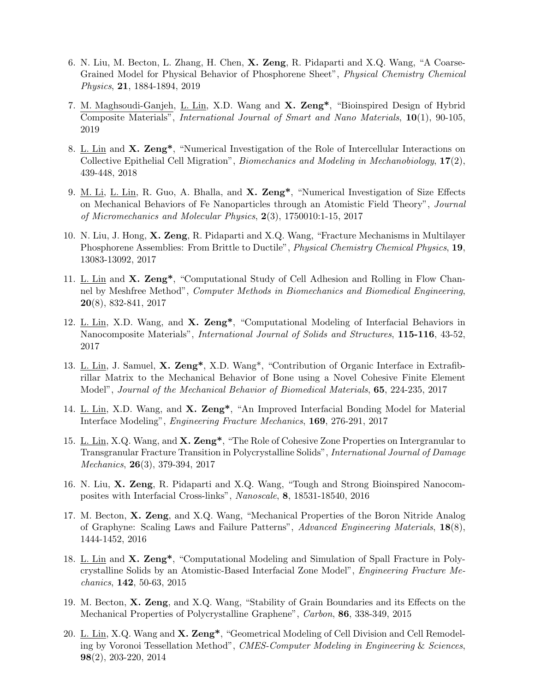- 6. N. Liu, M. Becton, L. Zhang, H. Chen, X. Zeng, R. Pidaparti and X.Q. Wang, "A Coarse-Grained Model for Physical Behavior of Phosphorene Sheet", Physical Chemistry Chemical Physics, 21, 1884-1894, 2019
- 7. M. Maghsoudi-Ganjeh, L. Lin, X.D. Wang and X. Zeng\*, "Bioinspired Design of Hybrid Composite Materials", International Journal of Smart and Nano Materials, 10(1), 90-105, 2019
- 8. L. Lin and X. Zeng\*, "Numerical Investigation of the Role of Intercellular Interactions on Collective Epithelial Cell Migration", Biomechanics and Modeling in Mechanobiology, 17(2), 439-448, 2018
- 9. M. Li, L. Lin, R. Guo, A. Bhalla, and X. Zeng\*, "Numerical Investigation of Size Effects on Mechanical Behaviors of Fe Nanoparticles through an Atomistic Field Theory", Journal of Micromechanics and Molecular Physics, 2(3), 1750010:1-15, 2017
- 10. N. Liu, J. Hong, X. Zeng, R. Pidaparti and X.Q. Wang, "Fracture Mechanisms in Multilayer Phosphorene Assemblies: From Brittle to Ductile", *Physical Chemistry Chemical Physics*, 19, 13083-13092, 2017
- 11. L. Lin and X. Zeng\*, "Computational Study of Cell Adhesion and Rolling in Flow Channel by Meshfree Method", Computer Methods in Biomechanics and Biomedical Engineering, 20(8), 832-841, 2017
- 12. L. Lin, X.D. Wang, and X. Zeng\*, "Computational Modeling of Interfacial Behaviors in Nanocomposite Materials", International Journal of Solids and Structures, 115-116, 43-52, 2017
- 13. L. Lin, J. Samuel, X. Zeng\*, X.D. Wang\*, "Contribution of Organic Interface in Extrafibrillar Matrix to the Mechanical Behavior of Bone using a Novel Cohesive Finite Element Model", Journal of the Mechanical Behavior of Biomedical Materials, 65, 224-235, 2017
- 14. L. Lin, X.D. Wang, and X. Zeng\*, "An Improved Interfacial Bonding Model for Material Interface Modeling", Engineering Fracture Mechanics, 169, 276-291, 2017
- 15. L. Lin, X.Q. Wang, and X. Zeng\*, "The Role of Cohesive Zone Properties on Intergranular to Transgranular Fracture Transition in Polycrystalline Solids", *International Journal of Damage* Mechanics, 26(3), 379-394, 2017
- 16. N. Liu, X. Zeng, R. Pidaparti and X.Q. Wang, "Tough and Strong Bioinspired Nanocomposites with Interfacial Cross-links", Nanoscale, 8, 18531-18540, 2016
- 17. M. Becton, X. Zeng, and X.Q. Wang, "Mechanical Properties of the Boron Nitride Analog of Graphyne: Scaling Laws and Failure Patterns", Advanced Engineering Materials, 18(8), 1444-1452, 2016
- 18. L. Lin and X. Zeng\*, "Computational Modeling and Simulation of Spall Fracture in Polycrystalline Solids by an Atomistic-Based Interfacial Zone Model", Engineering Fracture Mechanics, 142, 50-63, 2015
- 19. M. Becton, X. Zeng, and X.Q. Wang, "Stability of Grain Boundaries and its Effects on the Mechanical Properties of Polycrystalline Graphene", Carbon, 86, 338-349, 2015
- 20. L. Lin, X.Q. Wang and X. Zeng<sup>\*</sup>, "Geometrical Modeling of Cell Division and Cell Remodeling by Voronoi Tessellation Method", CMES-Computer Modeling in Engineering & Sciences, 98(2), 203-220, 2014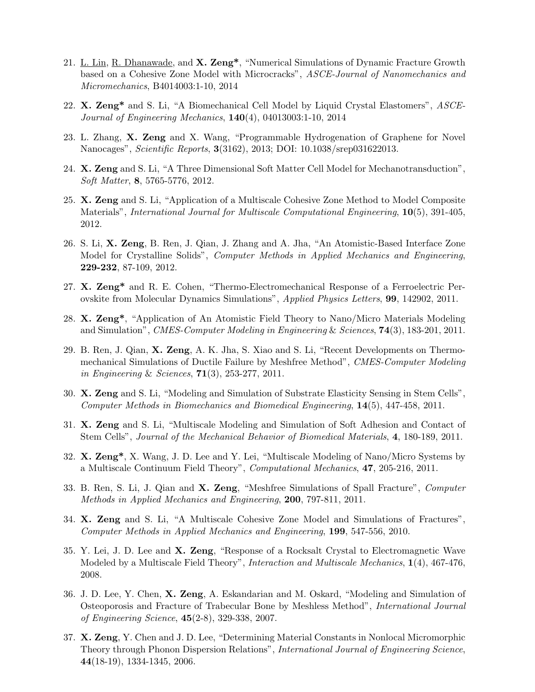- 21. L. Lin, R. Dhanawade, and X. Zeng<sup>\*</sup>, "Numerical Simulations of Dynamic Fracture Growth based on a Cohesive Zone Model with Microcracks", ASCE-Journal of Nanomechanics and Micromechanics, B4014003:1-10, 2014
- 22. X. Zeng<sup>\*</sup> and S. Li, "A Biomechanical Cell Model by Liquid Crystal Elastomers", ASCE-Journal of Engineering Mechanics, 140(4), 04013003:1-10, 2014
- 23. L. Zhang, X. Zeng and X. Wang, "Programmable Hydrogenation of Graphene for Novel Nanocages", Scientific Reports, 3(3162), 2013; DOI: 10.1038/srep031622013.
- 24. X. Zeng and S. Li, "A Three Dimensional Soft Matter Cell Model for Mechanotransduction", Soft Matter, 8, 5765-5776, 2012.
- 25. X. Zeng and S. Li, "Application of a Multiscale Cohesive Zone Method to Model Composite Materials", *International Journal for Multiscale Computational Engineering*, 10(5), 391-405, 2012.
- 26. S. Li, X. Zeng, B. Ren, J. Qian, J. Zhang and A. Jha, "An Atomistic-Based Interface Zone Model for Crystalline Solids", Computer Methods in Applied Mechanics and Engineering, 229-232, 87-109, 2012.
- 27. X. Zeng\* and R. E. Cohen, "Thermo-Electromechanical Response of a Ferroelectric Perovskite from Molecular Dynamics Simulations", Applied Physics Letters, 99, 142902, 2011.
- 28. X. Zeng\*, "Application of An Atomistic Field Theory to Nano/Micro Materials Modeling and Simulation", CMES-Computer Modeling in Engineering & Sciences, 74(3), 183-201, 2011.
- 29. B. Ren, J. Qian, X. Zeng, A. K. Jha, S. Xiao and S. Li, "Recent Developments on Thermomechanical Simulations of Ductile Failure by Meshfree Method", CMES-Computer Modeling in Engineering & Sciences, 71(3), 253-277, 2011.
- 30. X. Zeng and S. Li, "Modeling and Simulation of Substrate Elasticity Sensing in Stem Cells", Computer Methods in Biomechanics and Biomedical Engineering, 14(5), 447-458, 2011.
- 31. X. Zeng and S. Li, "Multiscale Modeling and Simulation of Soft Adhesion and Contact of Stem Cells", Journal of the Mechanical Behavior of Biomedical Materials, 4, 180-189, 2011.
- 32. X. Zeng\*, X. Wang, J. D. Lee and Y. Lei, "Multiscale Modeling of Nano/Micro Systems by a Multiscale Continuum Field Theory", Computational Mechanics, 47, 205-216, 2011.
- 33. B. Ren, S. Li, J. Qian and X. Zeng, "Meshfree Simulations of Spall Fracture", Computer Methods in Applied Mechanics and Engineering, 200, 797-811, 2011.
- 34. X. Zeng and S. Li, "A Multiscale Cohesive Zone Model and Simulations of Fractures", Computer Methods in Applied Mechanics and Engineering, 199, 547-556, 2010.
- 35. Y. Lei, J. D. Lee and X. Zeng, "Response of a Rocksalt Crystal to Electromagnetic Wave Modeled by a Multiscale Field Theory", Interaction and Multiscale Mechanics, 1(4), 467-476, 2008.
- 36. J. D. Lee, Y. Chen, X. Zeng, A. Eskandarian and M. Oskard, "Modeling and Simulation of Osteoporosis and Fracture of Trabecular Bone by Meshless Method", International Journal of Engineering Science, 45(2-8), 329-338, 2007.
- 37. X. Zeng, Y. Chen and J. D. Lee, "Determining Material Constants in Nonlocal Micromorphic Theory through Phonon Dispersion Relations", International Journal of Engineering Science, 44(18-19), 1334-1345, 2006.